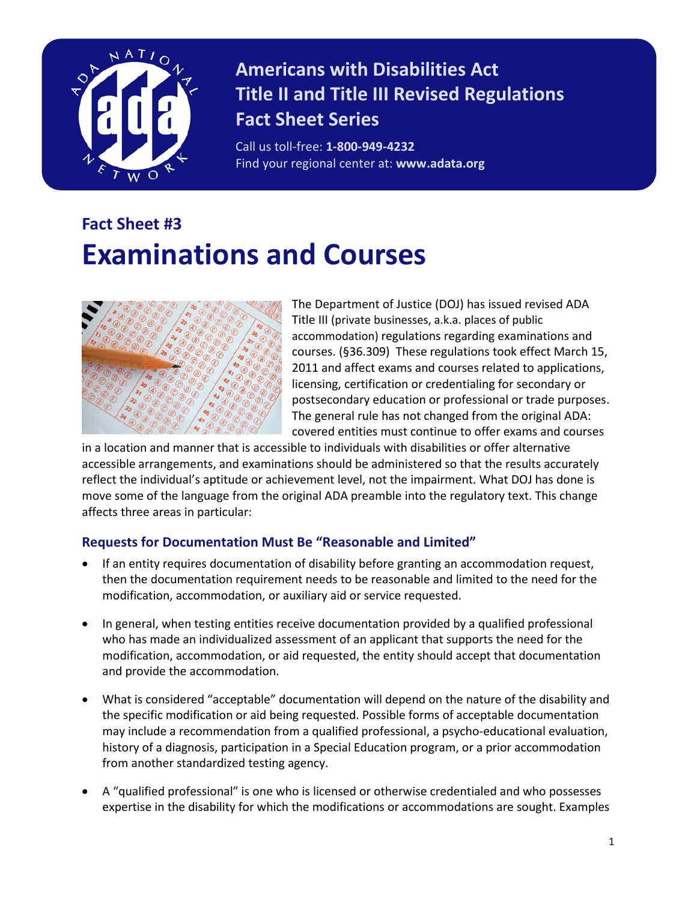

## **Americans with Disabilities Act Title II and Title III Revised Regulations Fact Sheet Series**

Call us toll-free: **1-800-949-4232** Find your regional center at: **www.adata.org**

# **Fact Sheet #3 Examinations and Courses**



The Department of Justice (DOJ) has issued revised ADA Title III (private businesses, a.k.a. places of public accommodation) regulations regarding examinations and courses. (§36.309) These regulations took effect March 15, 2011 and affect exams and courses related to applications, licensing, certification or credentialing for secondary or postsecondary education or professional or trade purposes. The general rule has not changed from the original ADA: covered entities must continue to offer exams and courses

in a location and manner that is accessible to individuals with disabilities or offer alternative accessible arrangements, and examinations should be administered so that the results accurately reflect the individual's aptitude or achievement level, not the impairment. What DOJ has done is move some of the language from the original ADA preamble into the regulatory text. This change affects three areas in particular:

#### **Requests for Documentation Must Be "Reasonable and Limited"**

- If an entity requires documentation of disability before granting an accommodation request, then the documentation requirement needs to be reasonable and limited to the need for the modification, accommodation, or auxiliary aid or service requested.
- In general, when testing entities receive documentation provided by a qualified professional who has made an individualized assessment of an applicant that supports the need for the modification, accommodation, or aid requested, the entity should accept that documentation and provide the accommodation.
- What is considered "acceptable" documentation will depend on the nature of the disability and the specific modification or aid being requested. Possible forms of acceptable documentation may include a recommendation from a qualified professional, a psycho-educational evaluation, history of a diagnosis, participation in a Special Education program, or a prior accommodation from another standardized testing agency.
- A "qualified professional" is one who is licensed or otherwise credentialed and who possesses expertise in the disability for which the modifications or accommodations are sought. Examples